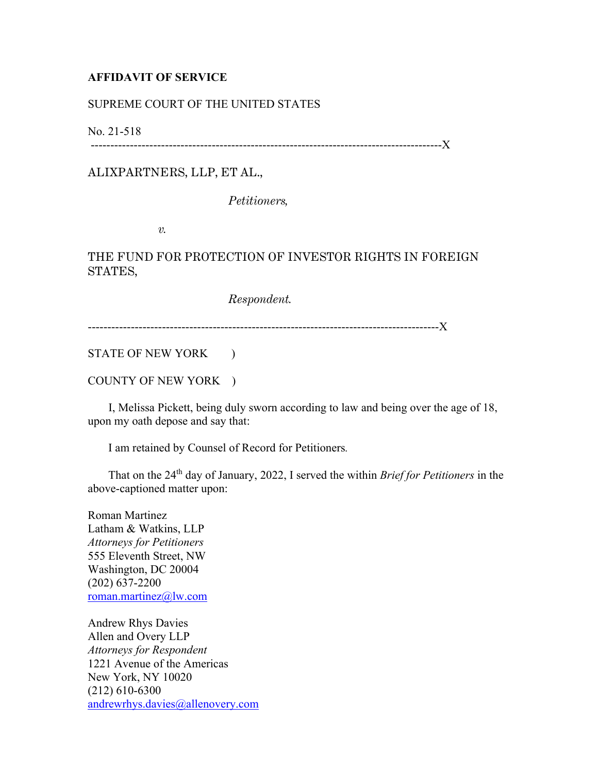## **AFFIDAVIT OF SERVICE**

## SUPREME COURT OF THE UNITED STATES

No. 21-518

------------------------------------------------------------------------------------------X

ALIXPARTNERS, LLP, ET AL.,

*Petitioners,* 

*v.* 

## THE FUND FOR PROTECTION OF INVESTOR RIGHTS IN FOREIGN STATES,

*Respondent.*

------------------------------------------------------------------------------------------X

STATE OF NEW YORK )

COUNTY OF NEW YORK )

 I, Melissa Pickett, being duly sworn according to law and being over the age of 18, upon my oath depose and say that:

I am retained by Counsel of Record for Petitioners*.*

 That on the 24th day of January, 2022, I served the within *Brief for Petitioners* in the above-captioned matter upon:

Roman Martinez Latham & Watkins, LLP *Attorneys for Petitioners*  555 Eleventh Street, NW Washington, DC 20004 (202) 637-2200 roman.martinez@lw.com

Andrew Rhys Davies Allen and Overy LLP *Attorneys for Respondent*  1221 Avenue of the Americas New York, NY 10020 (212) 610-6300 andrewrhys.davies@allenovery.com